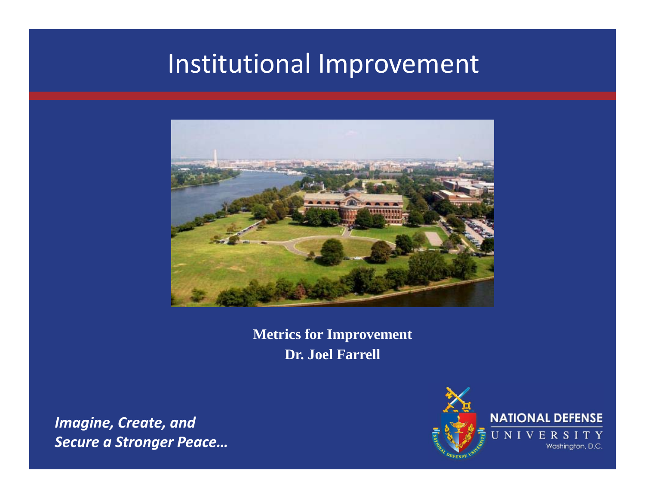# Institutional Improvement



**Metrics for Improvement Dr. Joel Farrell**

*Imagine, Create, and Secure a Stronger Peace…*

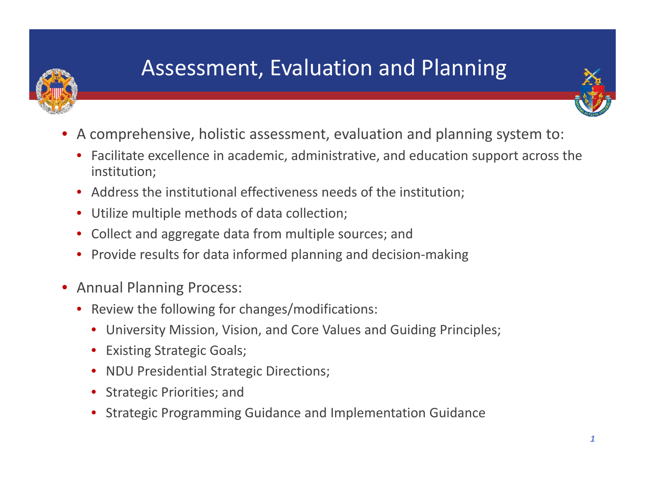

## Assessment, Evaluation and Planning

- • A comprehensive, holistic assessment, evaluation and planning system to:
	- Facilitate excellence in academic, administrative, and education support across the institution;
	- Address the institutional effectiveness needs of the institution;
	- Utilize multiple methods of data collection;
	- Collect and aggregate data from multiple sources; and
	- Provide results for data informed planning and decision‐making
- Annual Planning Process:
	- Review the following for changes/modifications:
		- University Mission, Vision, and Core Values and Guiding Principles;
		- Existing Strategic Goals;
		- $\bullet$ NDU Presidential Strategic Directions;
		- Strategic Priorities; and
		- •Strategic Programming Guidance and Implementation Guidance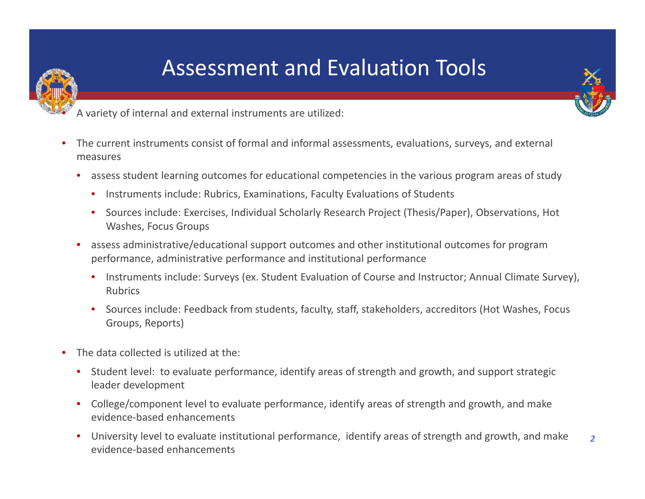### Assessment and Evaluation Tools



A variety of internal and external instruments are utilized:

- • The current instruments consist of formal and informal assessments, evaluations, surveys, and external measures
	- • assess student learning outcomes for educational competencies in the various program areas of study
		- $\bullet$ • Instruments include: Rubrics, Examinations, Faculty Evaluations of Students
		- $\bullet$ **•** Sources include: Exercises, Individual Scholarly Research Project (Thesis/Paper), Observations, Hot Washes, Focus Groups
	- assess administrative/educational support outcomes and other institutional outcomes for program performance, administrative performance and institutional performance
		- $\bullet$ • Instruments include: Surveys (ex. Student Evaluation of Course and Instructor; Annual Climate Survey), Rubrics
		- •**•** Sources include: Feedback from students, faculty, staff, stakeholders, accreditors (Hot Washes, Focus Groups, Reports)
- $\bullet$ • The data collected is utilized at the:

•

- • Student level: to evaluate performance, identify areas of strength and growth, and support strategic leader development
- College/component level to evaluate performance, identify areas of strength and growth, and make evidence‐based enhancements
- University level to evaluate institutional performance, identify areas of strength and growth, and make evidence‐based enhancements *2*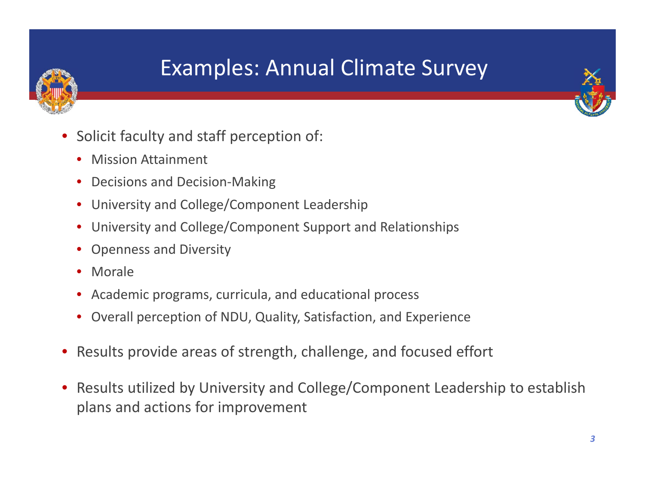### Examples: Annual Climate Survey



- • Solicit faculty and staff perception of:
	- Mission Attainment
	- Decisions and Decision-Making
	- University and College/Component Leadership
	- University and College/Component Support and Relationships
	- Openness and Diversity
	- Morale
	- Academic programs, curricula, and educational process
	- Overall perception of NDU, Quality, Satisfaction, and Experience
- Results provide areas of strength, challenge, and focused effort
- $\bullet$  Results utilized by University and College/Component Leadership to establish plans and actions for improvement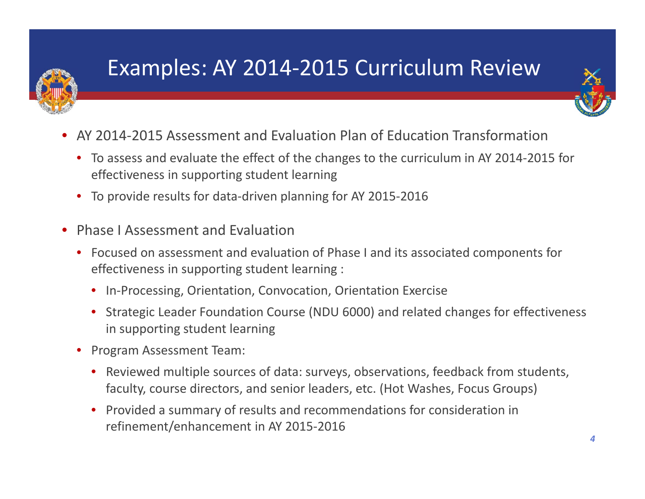

### Examples: AY 2014‐2015 Curriculum Review



- •● AY 2014-2015 Assessment and Evaluation Plan of Education Transformation
	- To assess and evaluate the effect of the changes to the curriculum in AY 2014‐2015 for effectiveness in supporting student learning
	- To provide results for data‐driven planning for AY 2015‐2016
- $\bullet$ **• Phase I Assessment and Evaluation** 
	- Focused on assessment and evaluation of Phase I and its associated components for effectiveness in supporting student learning :
		- In‐Processing, Orientation, Convocation, Orientation Exercise
		- $\bullet$  Strategic Leader Foundation Course (NDU 6000) and related changes for effectiveness in supporting student learning
	- Program Assessment Team:
		- Reviewed multiple sources of data: surveys, observations, feedback from students, faculty, course directors, and senior leaders, etc. (Hot Washes, Focus Groups)
		- Provided <sup>a</sup> summary of results and recommendations for consideration in refinement/enhancement in AY 2015‐2016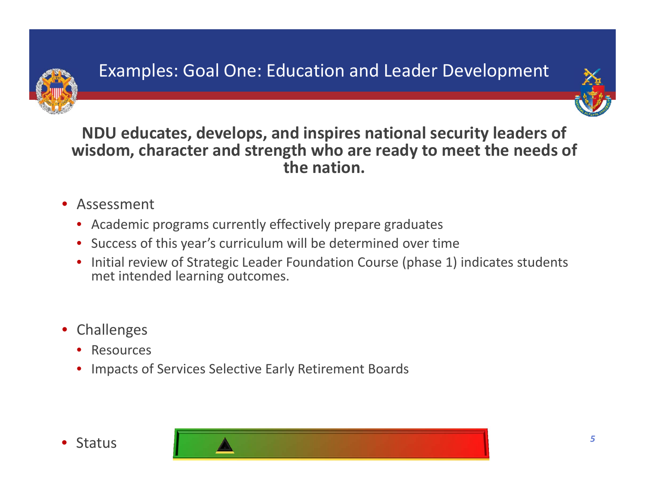



**NDU educates, develops, and inspires national security leaders of wisdom, character and strength who are ready to meet the needs of the nation.**

- Assessment
	- Academic programs currently effectively prepare graduates
	- Success of this year's curriculum will be determined over time
	- Initial review of Strategic Leader Foundation Course (phase 1) indicates students met intended learning outcomes.
- Challenges
	- Resources
	- Impacts of Services Selective Early Retirement Boards



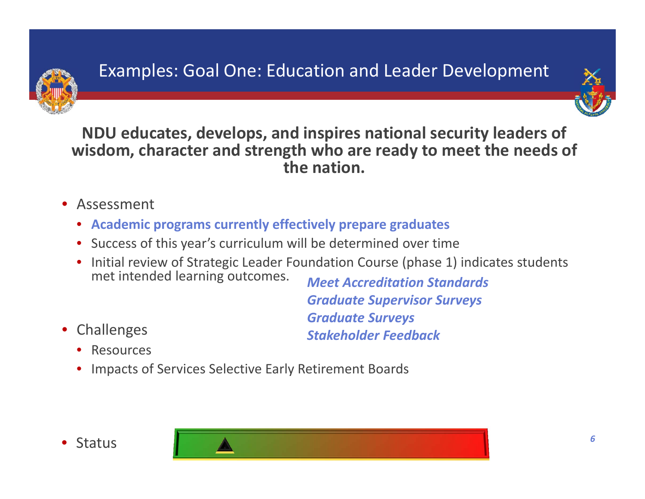



**NDU educates, develops, and inspires national security leaders of wisdom, character and strength who are ready to meet the needs of the nation.**

- Assessment
	- **Academic programs currently effectively prepare graduates**
	- Success of this year's curriculum will be determined over time
	- Initial review of Strategic Leader Foundation Course (phase 1) indicates students met intended learning outcomes. *Meet Accreditation Standards*

*Graduate Supervisor Surveys Graduate Surveys Stakeholder Feedback*

- Challenges
	- Resources
	- Impacts of Services Selective Early Retirement Boards



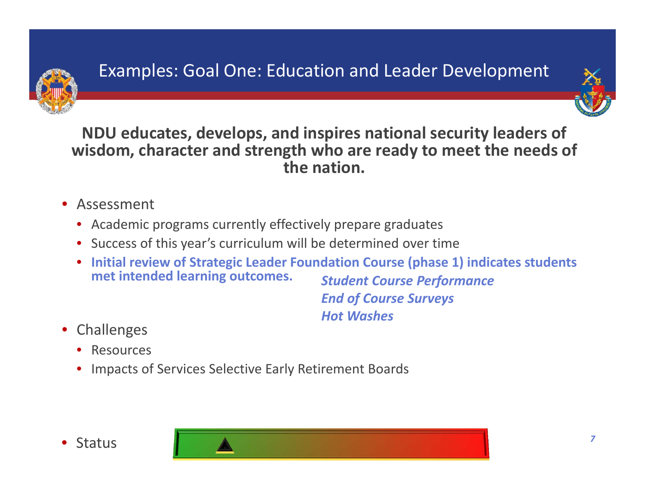



**NDU educates, develops, and inspires national security leaders of wisdom, character and strength who are ready to meet the needs of the nation.**

- Assessment
	- Academic programs currently effectively prepare graduates
	- Success of this year's curriculum will be determined over time
	- **Initial review of Strategic Leader Foundation Course (phase 1) indicates students met intended learning outcomes.** *Student Course Performance*

*End of Course Surveys Hot Washes*

- Challenges
	- Resources
	- Impacts of Services Selective Early Retirement Boards



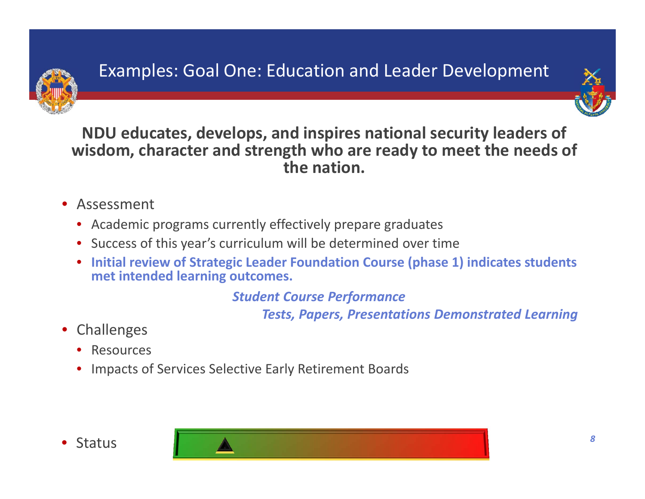



**NDU educates, develops, and inspires national security leaders of wisdom, character and strength who are ready to meet the needs of the nation.**

- Assessment
	- Academic programs currently effectively prepare graduates
	- Success of this year's curriculum will be determined over time
	- **Initial review of Strategic Leader Foundation Course (phase 1) indicates students met intended learning outcomes.**

*Student Course Performance*

*Tests, Papers, Presentations Demonstrated Learning*

- Challenges
	- Resources
	- Impacts of Services Selective Early Retirement Boards



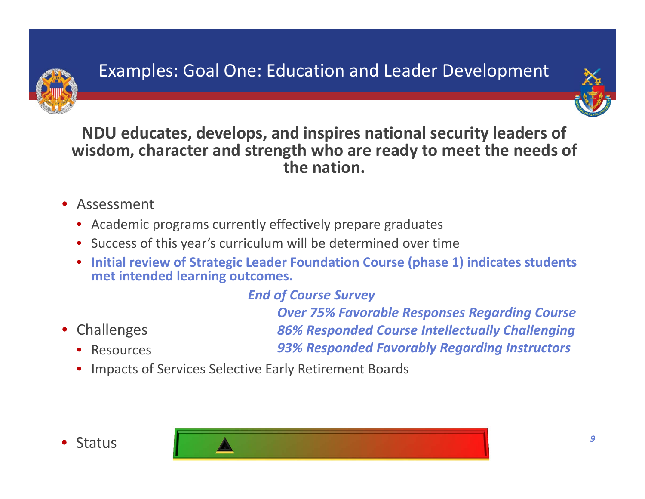



**NDU educates, develops, and inspires national security leaders of wisdom, character and strength who are ready to meet the needs of the nation.**

- Assessment
	- Academic programs currently effectively prepare graduates
	- Success of this year's curriculum will be determined over time
	- **Initial review of Strategic Leader Foundation Course (phase 1) indicates students met intended learning outcomes.**

#### *End of Course Survey*

• Challenges

• Resources

*Over 75% Favorable Responses Regarding Course 86% Responded Course Intellectually Challenging 93% Responded Favorably Regarding Instructors*

• Impacts of Services Selective Early Retirement Boards